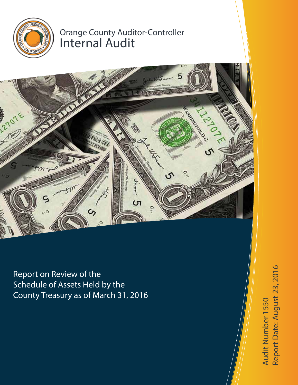

# Orange County Auditor-Controller Internal Audit



Report on Review of the Schedule of Assets Held by the County Treasury as of March 31, 2016

Report Date: August 23, 2016 Report Date: August 23, 2016Audit Number 1550 Audit Number 1550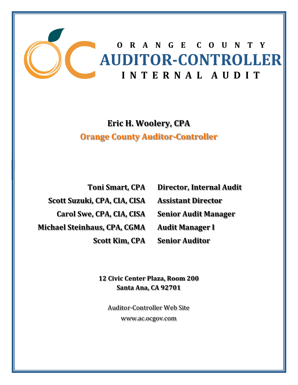

**Eric H. Woolery, CPA Orange County Auditor‐Controller**

**Toni Smart, CPA Scott Suzuki, CPA, CIA, CISA Carol Swe, CPA, CIA, CISA Michael Steinhaus, CPA, CGMA Scott Kim, CPA** **Director, Internal Audit Assistant Director Senior Audit Manager Audit Manager I Senior Auditor**

**12 Civic Center Plaza, Room 200 Santa Ana, CA 92701**

Auditor-Controller Web Site www.ac.ocgov.com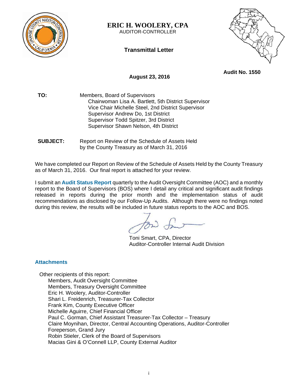

**ERIC H. WOOLERY, CPA**  AUDITOR-CONTROLLER

**Transmittal Letter** 



**Audit No. 1550** 

## **August 23, 2016**

**TO:** Members, Board of Supervisors Chairwoman Lisa A. Bartlett, 5th District Supervisor Vice Chair Michelle Steel, 2nd District Supervisor Supervisor Andrew Do, 1st District Supervisor Todd Spitzer, 3rd District Supervisor Shawn Nelson, 4th District

**SUBJECT:** Report on Review of the Schedule of Assets Held by the County Treasury as of March 31, 2016

We have completed our Report on Review of the Schedule of Assets Held by the County Treasury as of March 31, 2016. Our final report is attached for your review.

I submit an **Audit Status Report** quarterly to the Audit Oversight Committee (AOC) and a monthly report to the Board of Supervisors (BOS) where I detail any critical and significant audit findings released in reports during the prior month and the implementation status of audit recommendations as disclosed by our Follow-Up Audits. Although there were no findings noted during this review, the results will be included in future status reports to the AOC and BOS.

Toni Smart, CPA, Director Auditor-Controller Internal Audit Division

## **Attachments**

Other recipients of this report: Members, Audit Oversight Committee Members, Treasury Oversight Committee Eric H. Woolery, Auditor-Controller Shari L. Freidenrich, Treasurer-Tax Collector Frank Kim, County Executive Officer Michelle Aguirre, Chief Financial Officer Paul C. Gorman, Chief Assistant Treasurer-Tax Collector – Treasury Claire Moynihan, Director, Central Accounting Operations, Auditor-Controller Foreperson, Grand Jury Robin Stieler, Clerk of the Board of Supervisors Macias Gini & O'Connell LLP, County External Auditor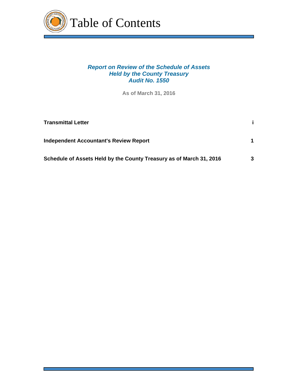

# *Report on Review of the Schedule of Assets Held by the County Treasury Audit No. 1550*

**As of March 31, 2016**

| <b>Transmittal Letter</b>                                           |   |
|---------------------------------------------------------------------|---|
| <b>Independent Accountant's Review Report</b>                       |   |
| Schedule of Assets Held by the County Treasury as of March 31, 2016 | 3 |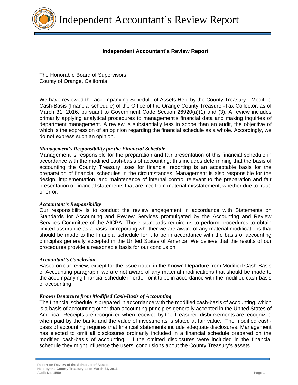

# **Independent Accountant's Review Report**

The Honorable Board of Supervisors County of Orange, California

We have reviewed the accompanying Schedule of Assets Held by the County Treasury—Modified Cash-Basis (financial schedule) of the Office of the Orange County Treasurer-Tax Collector, as of March 31, 2016, pursuant to Government Code Section 26920(a)(1) and (3). A review includes primarily applying analytical procedures to management's financial data and making inquiries of department management. A review is substantially less in scope than an audit, the objective of which is the expression of an opinion regarding the financial schedule as a whole. Accordingly, we do not express such an opinion.

### *Management's Responsibility for the Financial Schedule*

Management is responsible for the preparation and fair presentation of this financial schedule in accordance with the modified cash-basis of accounting; this includes determining that the basis of accounting the County Treasury uses for financial reporting is an acceptable basis for the preparation of financial schedules in the circumstances. Management is also responsible for the design, implementation, and maintenance of internal control relevant to the preparation and fair presentation of financial statements that are free from material misstatement, whether due to fraud or error.

#### *Accountant's Responsibility*

Our responsibility is to conduct the review engagement in accordance with Statements on Standards for Accounting and Review Services promulgated by the Accounting and Review Services Committee of the AICPA. Those standards require us to perform procedures to obtain limited assurance as a basis for reporting whether we are aware of any material modifications that should be made to the financial schedule for it to be in accordance with the basis of accounting principles generally accepted in the United States of America. We believe that the results of our procedures provide a reasonable basis for our conclusion.

#### *Accountant's Conclusion*

Based on our review, except for the issue noted in the Known Departure from Modified Cash-Basis of Accounting paragraph, we are not aware of any material modifications that should be made to the accompanying financial schedule in order for it to be in accordance with the modified cash-basis of accounting.

#### *Known Departure from Modified Cash-Basis of Accounting*

The financial schedule is prepared in accordance with the modified cash-basis of accounting, which is a basis of accounting other than accounting principles generally accepted in the United States of America. Receipts are recognized when received by the Treasurer; disbursements are recognized when paid by the bank; and the value of investments is stated at fair value. The modified cashbasis of accounting requires that financial statements include adequate disclosures. Management has elected to omit all disclosures ordinarily included in a financial schedule prepared on the modified cash-basis of accounting. If the omitted disclosures were included in the financial schedule they might influence the users' conclusions about the County Treasury's assets.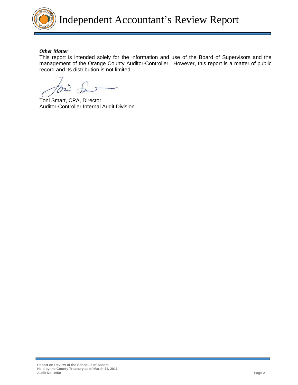

### *Other Matter*

This report is intended solely for the information and use of the Board of Supervisors and the management of the Orange County Auditor-Controller. However, this report is a matter of public record and its distribution is not limited.

Toni Smart, CPA, Director Auditor-Controller Internal Audit Division